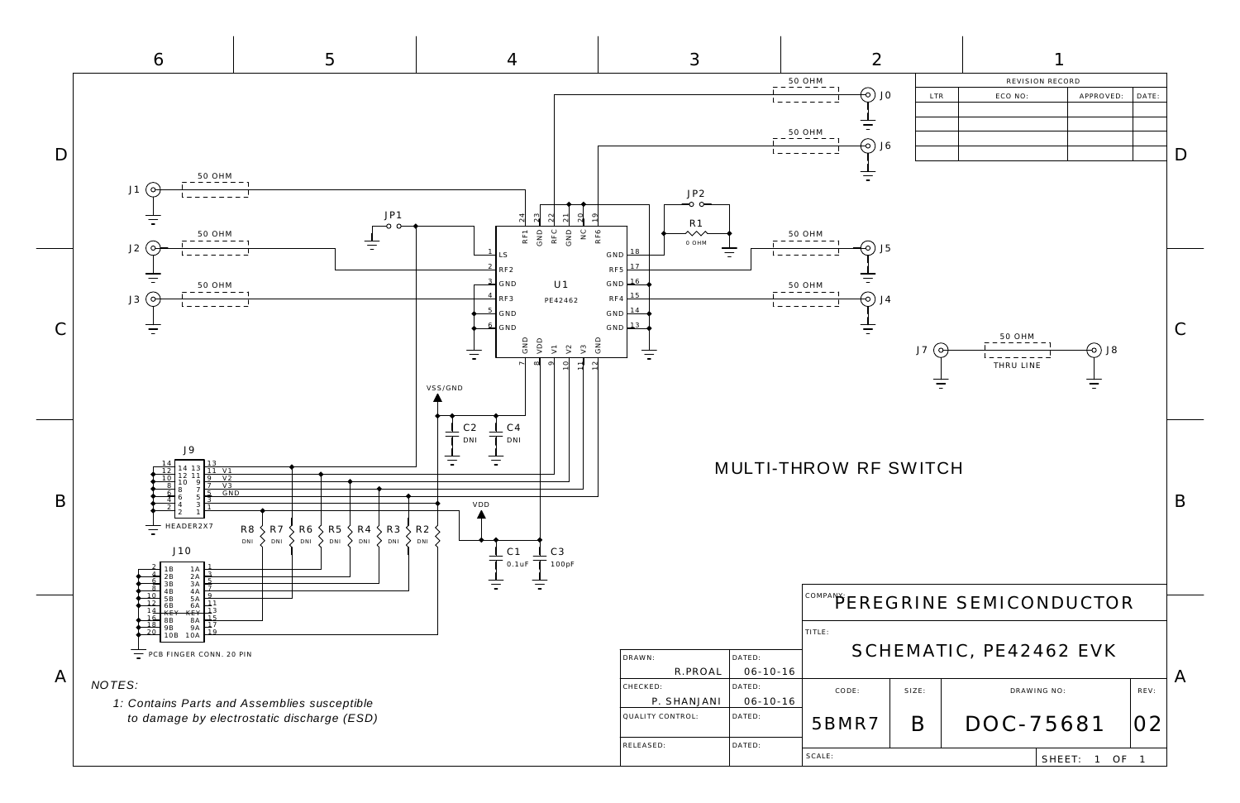